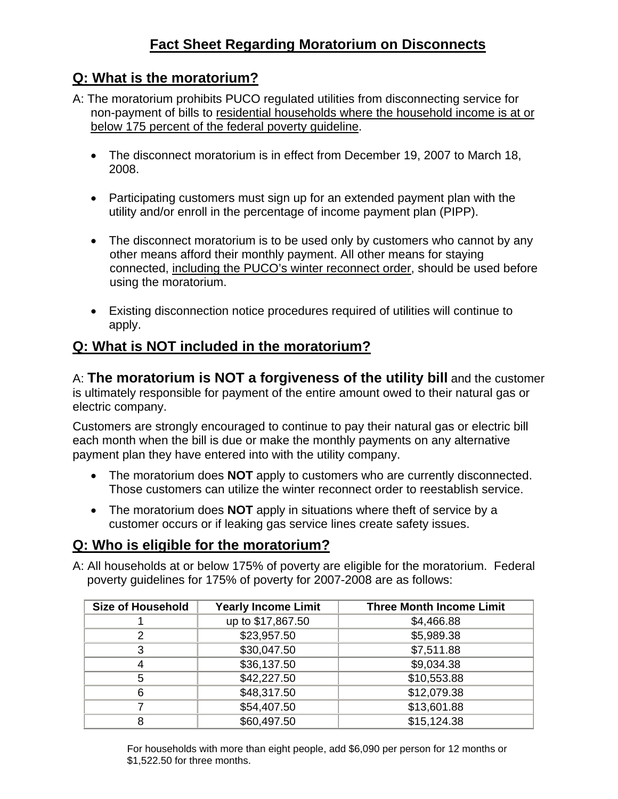## **Q: What is the moratorium?**

- A: The moratorium prohibits PUCO regulated utilities from disconnecting service for non-payment of bills to residential households where the household income is at or below 175 percent of the federal poverty guideline.
	- The disconnect moratorium is in effect from December 19, 2007 to March 18, 2008.
	- Participating customers must sign up for an extended payment plan with the utility and/or enroll in the percentage of income payment plan (PIPP).
	- The disconnect moratorium is to be used only by customers who cannot by any other means afford their monthly payment. All other means for staying connected, including the PUCO's winter reconnect order, should be used before using the moratorium.
	- Existing disconnection notice procedures required of utilities will continue to apply.

# **Q: What is NOT included in the moratorium?**

A: **The moratorium is NOT a forgiveness of the utility bill** and the customer is ultimately responsible for payment of the entire amount owed to their natural gas or electric company.

Customers are strongly encouraged to continue to pay their natural gas or electric bill each month when the bill is due or make the monthly payments on any alternative payment plan they have entered into with the utility company.

- The moratorium does **NOT** apply to customers who are currently disconnected. Those customers can utilize the winter reconnect order to reestablish service.
- The moratorium does **NOT** apply in situations where theft of service by a customer occurs or if leaking gas service lines create safety issues.

## **Q: Who is eligible for the moratorium?**

A: All households at or below 175% of poverty are eligible for the moratorium. Federal poverty guidelines for 175% of poverty for 2007-2008 are as follows:

| <b>Size of Household</b> | <b>Yearly Income Limit</b> | <b>Three Month Income Limit</b> |
|--------------------------|----------------------------|---------------------------------|
|                          | up to \$17,867.50          | \$4,466.88                      |
|                          | \$23,957.50                | \$5,989.38                      |
|                          | \$30,047.50                | \$7,511.88                      |
|                          | \$36,137.50                | \$9,034.38                      |
|                          | \$42,227.50                | \$10,553.88                     |
|                          | \$48,317.50                | \$12,079.38                     |
|                          | \$54,407.50                | \$13,601.88                     |
|                          | \$60,497.50                | \$15,124.38                     |

For households with more than eight people, add \$6,090 per person for 12 months or \$1,522.50 for three months.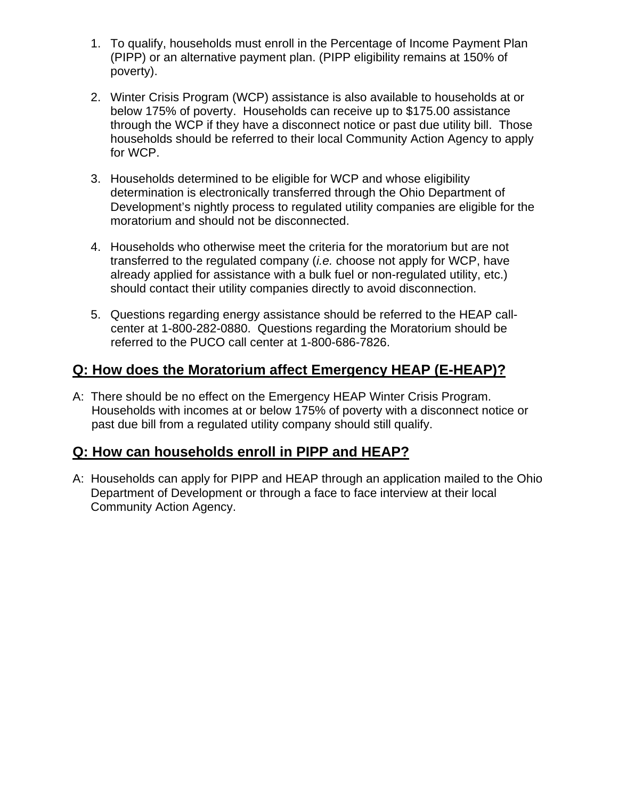- 1. To qualify, households must enroll in the Percentage of Income Payment Plan (PIPP) or an alternative payment plan. (PIPP eligibility remains at 150% of poverty).
- 2. Winter Crisis Program (WCP) assistance is also available to households at or below 175% of poverty. Households can receive up to \$175.00 assistance through the WCP if they have a disconnect notice or past due utility bill. Those households should be referred to their local Community Action Agency to apply for WCP.
- 3. Households determined to be eligible for WCP and whose eligibility determination is electronically transferred through the Ohio Department of Development's nightly process to regulated utility companies are eligible for the moratorium and should not be disconnected.
- 4. Households who otherwise meet the criteria for the moratorium but are not transferred to the regulated company (*i.e.* choose not apply for WCP, have already applied for assistance with a bulk fuel or non-regulated utility, etc.) should contact their utility companies directly to avoid disconnection.
- 5. Questions regarding energy assistance should be referred to the HEAP callcenter at 1-800-282-0880. Questions regarding the Moratorium should be referred to the PUCO call center at 1-800-686-7826.

### **Q: How does the Moratorium affect Emergency HEAP (E-HEAP)?**

A: There should be no effect on the Emergency HEAP Winter Crisis Program. Households with incomes at or below 175% of poverty with a disconnect notice or past due bill from a regulated utility company should still qualify.

## **Q: How can households enroll in PIPP and HEAP?**

A: Households can apply for PIPP and HEAP through an application mailed to the Ohio Department of Development or through a face to face interview at their local Community Action Agency.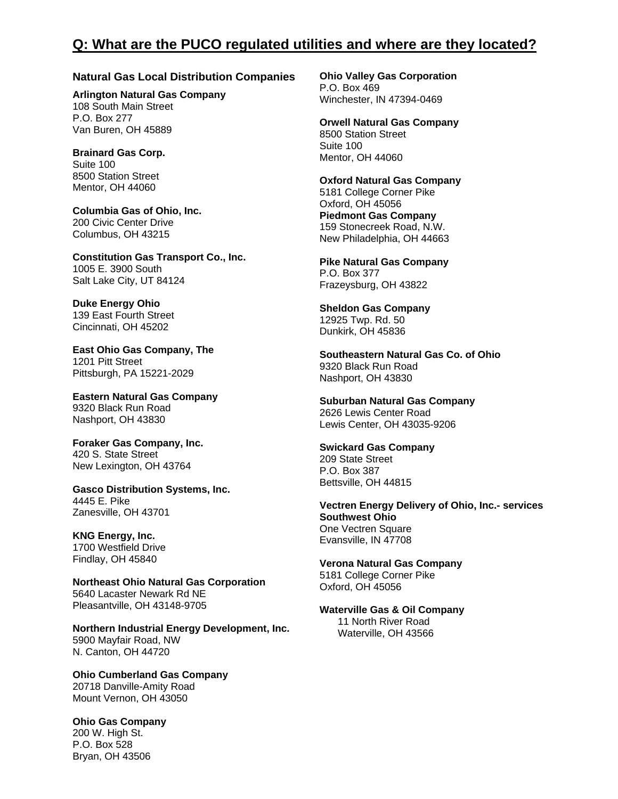### **Q: What are the PUCO regulated utilities and where are they located?**

#### **Natural Gas Local Distribution Companies**

**Arlington Natural Gas Company** 108 South Main Street P.O. Box 277 Van Buren, OH 45889

**Brainard Gas Corp.** Suite 100 8500 Station Street Mentor, OH 44060

**Columbia Gas of Ohio, Inc.** 200 Civic Center Drive Columbus, OH 43215

**Constitution Gas Transport Co., Inc.** 1005 E. 3900 South Salt Lake City, UT 84124

**Duke Energy Ohio** 139 East Fourth Street Cincinnati, OH 45202

**East Ohio Gas Company, The** 1201 Pitt Street Pittsburgh, PA 15221-2029

**Eastern Natural Gas Company** 9320 Black Run Road Nashport, OH 43830

**Foraker Gas Company, Inc.** 420 S. State Street New Lexington, OH 43764

**Gasco Distribution Systems, Inc.** 4445 E. Pike Zanesville, OH 43701

#### **KNG Energy, Inc.** 1700 Westfield Drive

Findlay, OH 45840

**Northeast Ohio Natural Gas Corporation** 5640 Lacaster Newark Rd NE Pleasantville, OH 43148-9705

**Northern Industrial Energy Development, Inc.** 5900 Mayfair Road, NW N. Canton, OH 44720

**Ohio Cumberland Gas Company** 20718 Danville-Amity Road Mount Vernon, OH 43050

**Ohio Gas Company** 200 W. High St. P.O. Box 528 Bryan, OH 43506

**Ohio Valley Gas Corporation** P.O. Box 469 Winchester, IN 47394-0469

**Orwell Natural Gas Company** 8500 Station Street Suite 100 Mentor, OH 44060

**Oxford Natural Gas Company** 5181 College Corner Pike Oxford, OH 45056 **Piedmont Gas Company** 159 Stonecreek Road, N.W. New Philadelphia, OH 44663

**Pike Natural Gas Company** P.O. Box 377 Frazeysburg, OH 43822

**Sheldon Gas Company** 12925 Twp. Rd. 50 Dunkirk, OH 45836

**Southeastern Natural Gas Co. of Ohio** 9320 Black Run Road Nashport, OH 43830

**Suburban Natural Gas Company** 2626 Lewis Center Road Lewis Center, OH 43035-9206

**Swickard Gas Company** 209 State Street P.O. Box 387 Bettsville, OH 44815

**Vectren Energy Delivery of Ohio, Inc.- services Southwest Ohio** One Vectren Square Evansville, IN 47708

**Verona Natural Gas Company** 5181 College Corner Pike Oxford, OH 45056

**Waterville Gas & Oil Company** 11 North River Road

Waterville, OH 43566